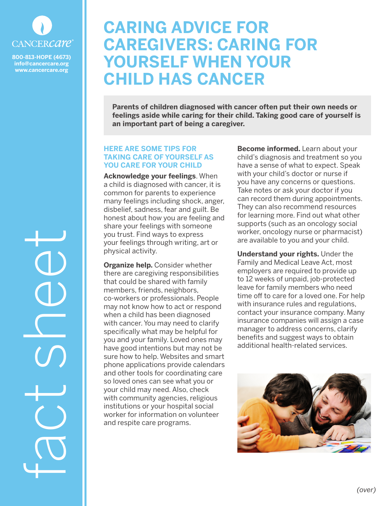

**800-813-HOPE (4673) info@cancercare.org www.cancercare.org**

## **CARING ADVICE FOR CAREGIVERS: CARING FOR YOURSELF WHEN YOUR CHILD HAS CANCER**

**Parents of children diagnosed with cancer often put their own needs or feelings aside while caring for their child. Taking good care of yourself is an important part of being a caregiver.** 

## **HERE ARE SOME TIPS FOR TAKING CARE OF YOURSELF AS YOU CARE FOR YOUR CHILD**

**Acknowledge your feelings**. When a child is diagnosed with cancer, it is common for parents to experience many feelings including shock, anger, disbelief, sadness, fear and guilt. Be honest about how you are feeling and share your feelings with someone you trust. Find ways to express your feelings through writing, art or physical activity.

**Organize help.** Consider whether there are caregiving responsibilities that could be shared with family members, friends, neighbors, co-workers or professionals. People may not know how to act or respond when a child has been diagnosed with cancer. You may need to clarify specifically what may be helpful for you and your family. Loved ones may have good intentions but may not be sure how to help. Websites and smart phone applications provide calendars and other tools for coordinating care so loved ones can see what you or your child may need. Also, check with community agencies, religious institutions or your hospital social worker for information on volunteer and respite care programs.

**Become informed.** Learn about your child's diagnosis and treatment so you have a sense of what to expect. Speak with your child's doctor or nurse if you have any concerns or questions. Take notes or ask your doctor if you can record them during appointments. They can also recommend resources for learning more. Find out what other supports (such as an oncology social worker, oncology nurse or pharmacist) are available to you and your child.

**Understand your rights.** Under the Family and Medical Leave Act, most employers are required to provide up to 12 weeks of unpaid, job-protected leave for family members who need time off to care for a loved one. For help with insurance rules and regulations, contact your insurance company. Many insurance companies will assign a case manager to address concerns, clarify benefits and suggest ways to obtain additional health-related services.



fact sheet